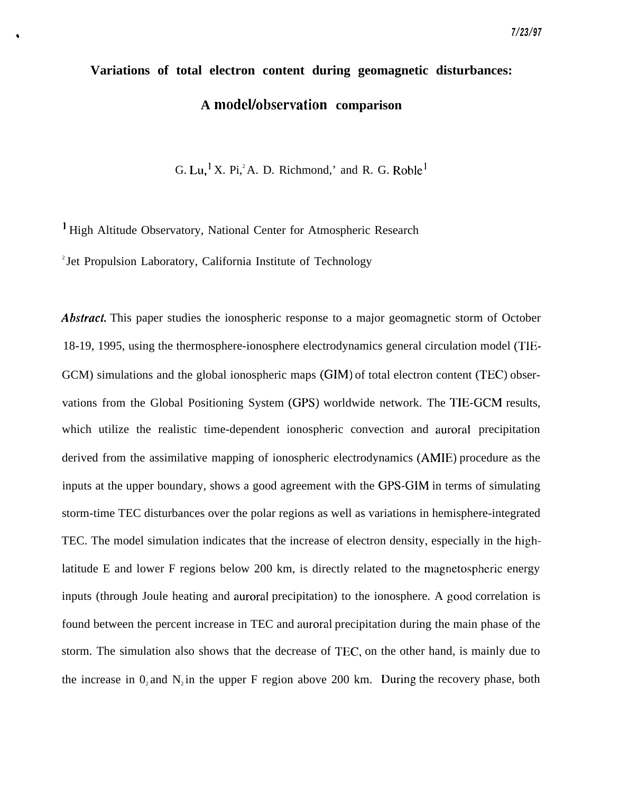# **Variations of total electron content during geomagnetic disturbances:** A model/observation comparison

G. Lu,<sup>1</sup> X. Pi,<sup>2</sup> A. D. Richmond,' and R. G. Roble<sup>1</sup>

' High Altitude Observatory, National Center for Atmospheric Research <sup>2</sup> Jet Propulsion Laboratory, California Institute of Technology

Abstract. This paper studies the ionospheric response to a major geomagnetic storm of October 18-19, 1995, using the thermosphere-ionosphere electrodynamics general circulation model (TIE-GCM) simulations and the global ionospheric maps (GIM) of total electron content (TEC) observations from the Global Positioning System (GPS) worldwide network. The TIE-GCM results, which utilize the realistic time-dependent ionospheric convection and auroral precipitation derived from the assimilative mapping of ionospheric electrodynamics (AMIE) procedure as the inputs at the upper boundary, shows a good agreement with the GPS-GIM in terms of simulating storm-time TEC disturbances over the polar regions as well as variations in hemisphere-integrated TEC. The model simulation indicates that the increase of electron density, especially in the highlatitude E and lower F regions below 200 km, is directly related to the magnetospheric energy inputs (through Joule heating and auroral precipitation) to the ionosphere. A good correlation is found between the percent increase in TEC and auroral precipitation during the main phase of the storm. The simulation also shows that the decrease of TEC, on the other hand, is mainly due to the increase in  $0,$  and  $N$ , in the upper F region above 200 km. During the recovery phase, both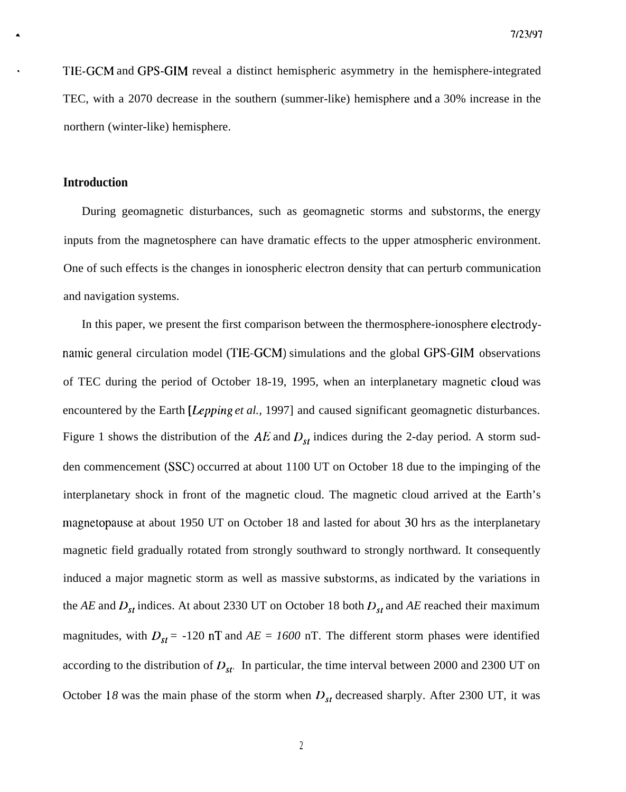TIE-GCM and GPS-GIM reveal a distinct hemispheric asymmetry in the hemisphere-integrated TEC, with a 2070 decrease in the southern (summer-like) hemisphere and a 30% increase in the northern (winter-like) hemisphere.

### **Introduction**

During geomagnetic disturbances, such as geomagnetic storms and substorms, the energy inputs from the magnetosphere can have dramatic effects to the upper atmospheric environment. One of such effects is the changes in ionospheric electron density that can perturb communication and navigation systems.

In this paper, we present the first comparison between the thermosphere-ionosphere electrodynamic general circulation model (TIE-GCM) simulations and the global GPS-GIM observations of TEC during the period of October 18-19, 1995, when an interplanetary magnetic cloud was encountered by the Earth *[Lepping et al.,* 1997] and caused significant geomagnetic disturbances. Figure 1 shows the distribution of the  $AE$  and  $D_{st}$  indices during the 2-day period. A storm sudden commencement (SSC) occurred at about 1100 UT on October 18 due to the impinging of the interplanetary shock in front of the magnetic cloud. The magnetic cloud arrived at the Earth's magnetopause at about 1950 UT on October 18 and lasted for about 30 hrs as the interplanetary magnetic field gradually rotated from strongly southward to strongly northward. It consequently induced a major magnetic storm as well as massive substorms, as indicated by the variations in the *AE* and  $D_{st}$  indices. At about 2330 UT on October 18 both  $D_{st}$  and *AE* reached their maximum magnitudes, with  $D_{st}$  = -120 nT and  $AE = 1600$  nT. The different storm phases were identified according to the distribution of  $D_{sr}$ . In particular, the time interval between 2000 and 2300 UT on October 18 was the main phase of the storm when  $D_{st}$  decreased sharply. After 2300 UT, it was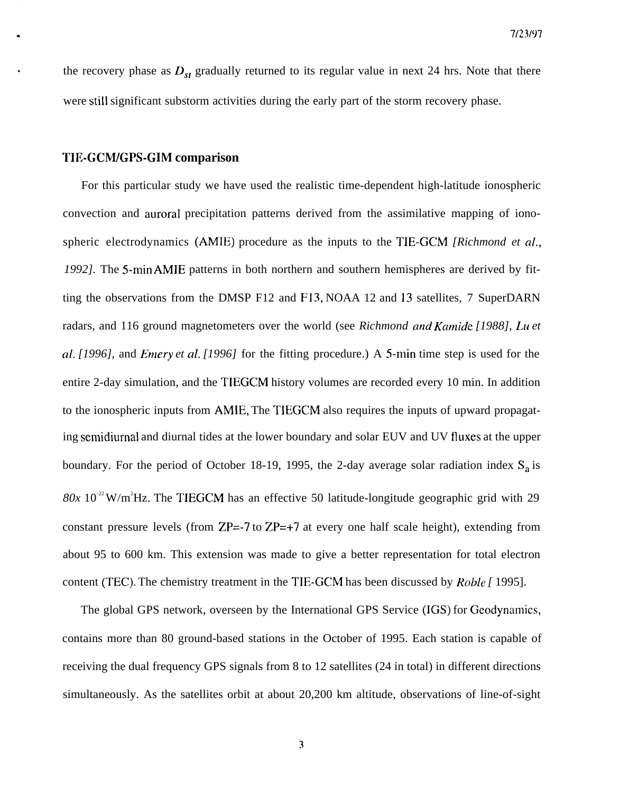the recovery phase as  $D_{st}$  gradually returned to its regular value in next 24 hrs. Note that there were still significant substorm activities during the early part of the storm recovery phase.

#### **l'IIWCM/GPS-GIM comparison**

For this particular study we have used the realistic time-dependent high-latitude ionospheric convection and auroral precipitation patterns derived from the assimilative mapping of ionospheric electrodynamics (AMIE) procedure as the inputs to the TIE-GCM *[Richmond et cd., 1992]*. The 5-min AMIE patterns in both northern and southern hemispheres are derived by fitting the observations from the DMSP F12 and F13, NOAA 12 and 13 satellites, 7 SuperDARN radars, and 116 ground magnetometers over the world (see *Richmond and Kcmide [1988], Lu et al. [1996],* and *Emery et al. [1996]* for the fitting procedure.) A 5-min time step is used for the entire 2-day simulation, and the TIEGCM history volumes are recorded every 10 min. In addition to the ionospheric inputs from AMIE, The TIEGCM also requires the inputs of upward propagating semidiurnal and diurnal tides at the lower boundary and solar EUV and UV fluxes at the upper boundary. For the period of October 18-19, 1995, the 2-day average solar radiation index  $S_a$  is  $80x 10^{-2}$  W/m<sup>2</sup>Hz. The TIEGCM has an effective 50 latitude-longitude geographic grid with 29 constant pressure levels (from  $ZP=-7$  to  $ZP=+7$  at every one half scale height), extending from about 95 to 600 km. This extension was made to give a better representation for total electron content (TEC). The chemistry treatment in the TIE-GCM has been discussed by *Roble [* 1995].

The global GPS network, overseen by the International GPS Service (IGS) for Geodynamics, contains more than 80 ground-based stations in the October of 1995. Each station is capable of receiving the dual frequency GPS signals from 8 to 12 satellites (24 in total) in different directions simultaneously. As the satellites orbit at about 20,200 km altitude, observations of line-of-sight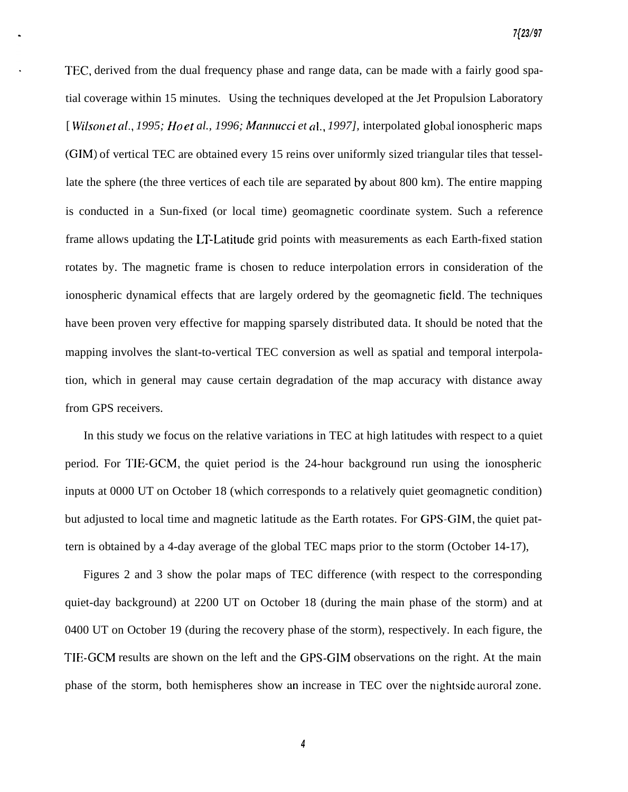TEC, derived from the dual frequency phase and range data, can be made with a fairly good spatial coverage within 15 minutes. Using the techniques developed at the Jet Propulsion Laboratory [*Wilson et al., 1995; Ho et al., 1996; Mannucci et al., 1997], interpolated global ionospheric maps* (GIM) of vertical TEC are obtained every 15 reins over uniformly sized triangular tiles that tessellate the sphere (the three vertices of each tile are separated by about 800 km). The entire mapping is conducted in a Sun-fixed (or local time) geomagnetic coordinate system. Such a reference frame allows updating the LT-Latitude grid points with measurements as each Earth-fixed station rotates by. The magnetic frame is chosen to reduce interpolation errors in consideration of the ionospheric dynamical effects that are largely ordered by the geomagnetic field. The techniques have been proven very effective for mapping sparsely distributed data. It should be noted that the mapping involves the slant-to-vertical TEC conversion as well as spatial and temporal interpolation, which in general may cause certain degradation of the map accuracy with distance away from GPS receivers.

In this study we focus on the relative variations in TEC at high latitudes with respect to a quiet period. For TIE-GCM, the quiet period is the 24-hour background run using the ionospheric inputs at 0000 UT on October 18 (which corresponds to a relatively quiet geomagnetic condition) but adjusted to local time and magnetic latitude as the Earth rotates. For GPS-GIM, the quiet pattern is obtained by a 4-day average of the global TEC maps prior to the storm (October 14-17),

Figures 2 and 3 show the polar maps of TEC difference (with respect to the corresponding quiet-day background) at 2200 UT on October 18 (during the main phase of the storm) and at 0400 UT on October 19 (during the recovery phase of the storm), respectively. In each figure, the TIE-GCM results are shown on the left and the GPS-GIM observations on the right. At the main phase of the storm, both hemispheres show an increase in TEC over the nightsidc auroral zone.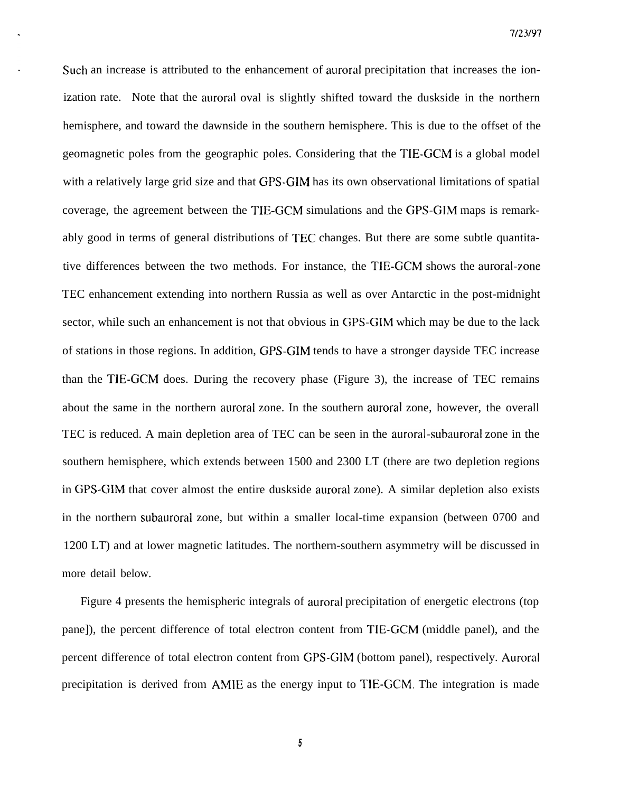Such an increase is attributed to the enhancement of auroral precipitation that increases the ionization rate. Note that the auroral oval is slightly shifted toward the duskside in the northern hemisphere, and toward the dawnside in the southern hemisphere. This is due to the offset of the geomagnetic poles from the geographic poles. Considering that the TIE-GCM is a global model with a relatively large grid size and that GPS-GIM has its own observational limitations of spatial coverage, the agreement between the TIE-GCM simulations and the GPS-GIM maps is remarkably good in terms of general distributions of TEC changes. But there are some subtle quantitative differences between the two methods. For instance, the TIE-GCM shows the auroral-zone TEC enhancement extending into northern Russia as well as over Antarctic in the post-midnight sector, while such an enhancement is not that obvious in GPS-GIM which may be due to the lack of stations in those regions. In addition, GPS-GIM tends to have a stronger dayside TEC increase than the TIE-GCM does. During the recovery phase (Figure 3), the increase of TEC remains about the same in the northern auroral zone. In the southern auroral zone, however, the overall TEC is reduced. A main depletion area of TEC can be seen in the auroral-subauroral zone in the southern hemisphere, which extends between 1500 and 2300 LT (there are two depletion regions in GPS-GIM that cover almost the entire duskside auroral zone). A similar depletion also exists in the northern subauroral zone, but within a smaller local-time expansion (between 0700 and 1200 LT) and at lower magnetic latitudes. The northern-southern asymmetry will be discussed in more detail below.

Figure 4 presents the hemispheric integrals of auroral precipitation of energetic electrons (top pane]), the percent difference of total electron content from TIE-GCM (middle panel), and the percent difference of total electron content from GPS-GIM (bottom panel), respectively. Auroral precipitation is derived from AMIE as the energy input to TIE-GCM. The integration is made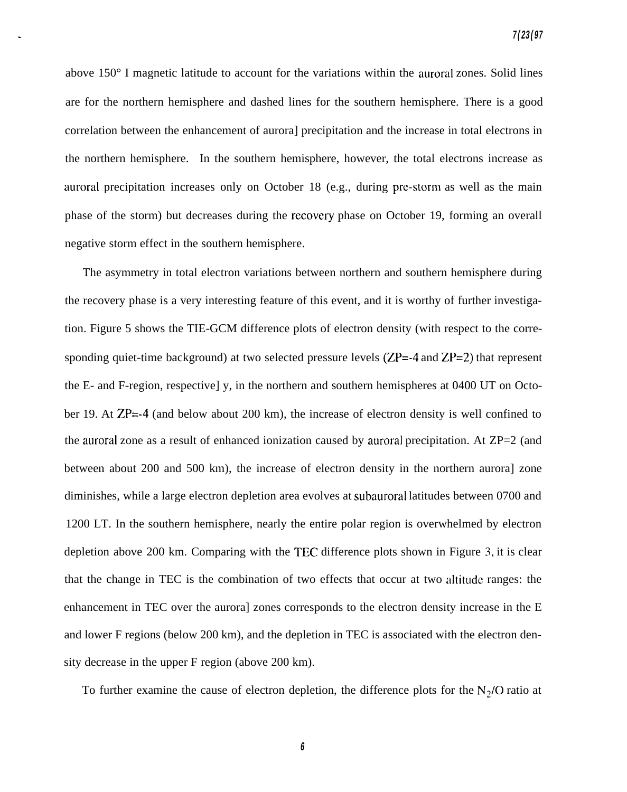above 150° I magnetic latitude to account for the variations within the auroral zones. Solid lines are for the northern hemisphere and dashed lines for the southern hemisphere. There is a good correlation between the enhancement of aurora] precipitation and the increase in total electrons in the northern hemisphere. In the southern hemisphere, however, the total electrons increase as auroral precipitation increases only on October 18 (e.g., during prc-storm as well as the main phase of the storm) but decreases during the recovery phase on October 19, forming an overall negative storm effect in the southern hemisphere.

The asymmetry in total electron variations between northern and southern hemisphere during the recovery phase is a very interesting feature of this event, and it is worthy of further investigation. Figure 5 shows the TIE-GCM difference plots of electron density (with respect to the corresponding quiet-time background) at two selected pressure levels  $(ZP=-4$  and  $ZP=2)$  that represent the E- and F-region, respective] y, in the northern and southern hemispheres at 0400 UT on October 19. At ZP=-4 (and below about 200 km), the increase of electron density is well confined to the auroral zone as a result of enhanced ionization caused by auroral precipitation. At ZP=2 (and between about 200 and 500 km), the increase of electron density in the northern aurora] zone diminishes, while a large electron depletion area evolves at subauroral latitudes between 0700 and 1200 LT. In the southern hemisphere, nearly the entire polar region is overwhelmed by electron depletion above 200 km. Comparing with the TEC difference plots shown in Figure 3, it is clear that the change in TEC is the combination of two effects that occur at two altitude ranges: the enhancement in TEC over the aurora] zones corresponds to the electron density increase in the E and lower F regions (below 200 km), and the depletion in TEC is associated with the electron density decrease in the upper F region (above 200 km).

To further examine the cause of electron depletion, the difference plots for the  $N<sub>2</sub>/O$  ratio at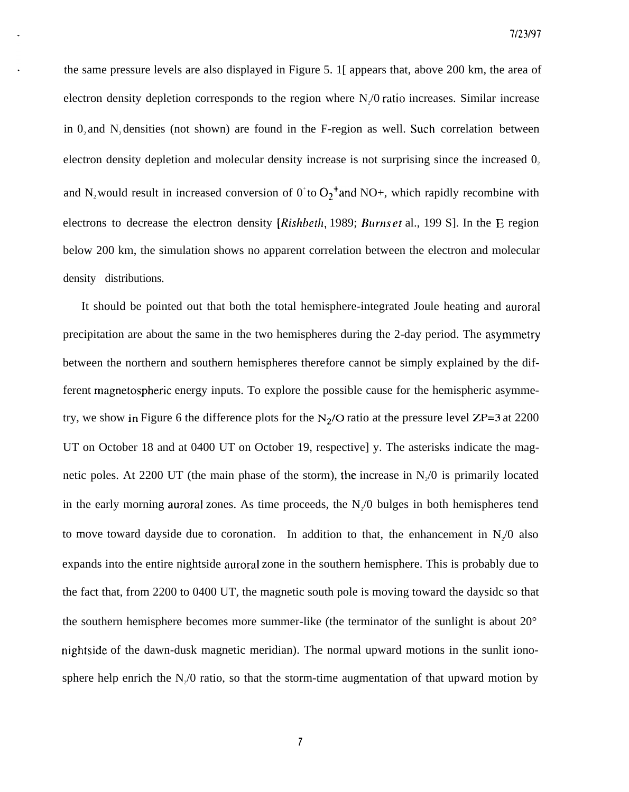the same pressure levels are also displayed in Figure 5. 1[ appears that, above 200 km, the area of electron density depletion corresponds to the region where  $N_z/0$  ratio increases. Similar increase in 0, and N, densities (not shown) are found in the F-region as well. Such correlation between electron density depletion and molecular density increase is not surprising since the increased  $0$ , and N<sub>2</sub> would result in increased conversion of  $0^{\circ}$  to  $O_2^{\bullet}$  and NO+, which rapidly recombine with electrons to decrease the electron density [Rishbeth, 1989; Burns et al., 199 S]. In the E region below 200 km, the simulation shows no apparent correlation between the electron and molecular density distributions.

It should be pointed out that both the total hemisphere-integrated Joule heating and auroral precipitation are about the same in the two hemispheres during the 2-day period. The asymmetry between the northern and southern hemispheres therefore cannot be simply explained by the different magnetospheric energy inputs. To explore the possible cause for the hemispheric asymmetry, we show in Figure 6 the difference plots for the  $N_2/O$  ratio at the pressure level ZP=3 at 2200 UT on October 18 and at 0400 UT on October 19, respective] y. The asterisks indicate the magnetic poles. At 2200 UT (the main phase of the storm), the increase in  $N_{2}/0$  is primarily located in the early morning auroral zones. As time proceeds, the  $N_{2}/0$  bulges in both hemispheres tend to move toward dayside due to coronation. In addition to that, the enhancement in  $N_2/0$  also expands into the entire nightside auroral zone in the southern hemisphere. This is probably due to the fact that, from 2200 to 0400 UT, the magnetic south pole is moving toward the daysidc so that the southern hemisphere becomes more summer-like (the terminator of the sunlight is about 20° nightside of the dawn-dusk magnetic meridian). The normal upward motions in the sunlit ionosphere help enrich the  $N_2/0$  ratio, so that the storm-time augmentation of that upward motion by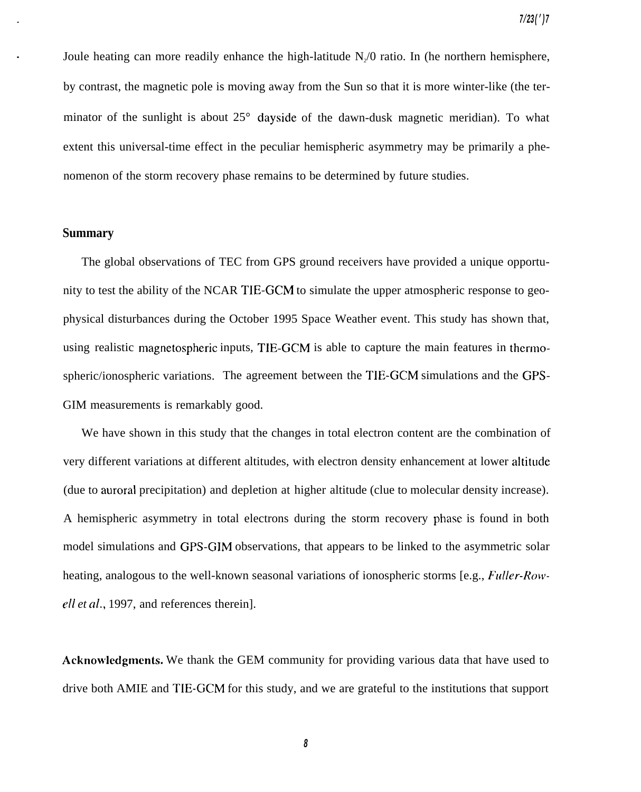Joule heating can more readily enhance the high-latitude  $N_{2}/0$  ratio. In (he northern hemisphere, by contrast, the magnetic pole is moving away from the Sun so that it is more winter-like (the terminator of the sunlight is about 25° dayside of the dawn-dusk magnetic meridian). To what extent this universal-time effect in the peculiar hemispheric asymmetry may be primarily a phenomenon of the storm recovery phase remains to be determined by future studies.

#### **Summary**

The global observations of TEC from GPS ground receivers have provided a unique opportunity to test the ability of the NCAR TIE-GCM to simulate the upper atmospheric response to geophysical disturbances during the October 1995 Space Weather event. This study has shown that, using realistic magnetospheric inputs, TIE-GCM is able to capture the main features in thermospheric/ionospheric variations. The agreement between the TIE-GCM simulations and the GPS-GIM measurements is remarkably good.

We have shown in this study that the changes in total electron content are the combination of (due to auroral precipitation) and depletion at higher altitude (clue to molecular density increase). A hemispheric asymmetry in total electrons during the storm recovery phase is found in both very different variations at different altitudes, with electron density enhancement at lower altitude model simulations and GPS-GIM observations, that appears to be linked to the asymmetric solar heating, analogous to the well-known seasonal variations of ionospheric storms [e.g., *Fulfer-Rowefl et al.,* 1997, and references therein].

**Acknowleclgments.** We thank the GEM community for providing various data that have used to drive both AMIE and TIE-GCM for this study, and we are grateful to the institutions that support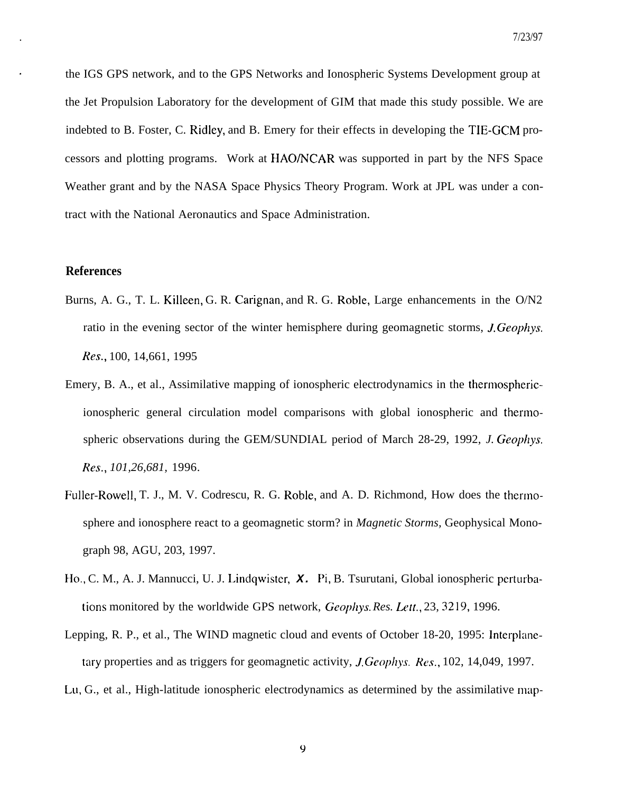the IGS GPS network, and to the GPS Networks and Ionospheric Systems Development group at the Jet Propulsion Laboratory for the development of GIM that made this study possible. We are indebted to B. Foster, C. Ridley, and B. Emery for their effects in developing the TIE-GCM processors and plotting programs. Work at HAO/NCAR was supported in part by the NFS Space Weather grant and by the NASA Space Physics Theory Program. Work at JPL was under a contract with the National Aeronautics and Space Administration.

## **References**

- Burns, A. G., T. L. Killeen, G. R. Carignan, and R. G. Roble, Large enhancements in the O/N2 ratio in the evening sector of the winter hemisphere during geomagnetic storms, *J. Geophys.* Res., 100, 14,661, 1995
- Emery, B. A., et al., Assimilative mapping of ionospheric electrodynamics in the thermosphericionospheric general circulation model comparisons with global ionospheric and thermospheric observations during the GEM/SUNDIAL period of March 28-29, 1992, *J. Geophys. Res., 101,26,681,* 1996.
- Fuller-Rowell, T. J., M. V. Codrescu, R. G. Roble, and A. D. Richmond, How does the thermosphere and ionosphere react to a geomagnetic storm? in *Magnetic Storms,* Geophysical Monograph 98, AGU, 203, 1997.
- Ilo., C. M., A. J. Mannucci, U. J. Lindqwister, **X. Pi,** B. Tsurutani, Global ionospheric perturbations monitored by the worldwide GPS network, *Geophys. Res. Lett.*, 23, 3219, 1996.
- Lepping, R. P., et al., The WIND magnetic cloud and events of October 18-20, 1995: Interplanetary properties and as triggers for geomagnetic activity, *J. Geophys. Res.*, 102, 14,049, 1997.
- LL1, G., et al., High-latitude ionospheric electrodynamics as determined by the assimilative map-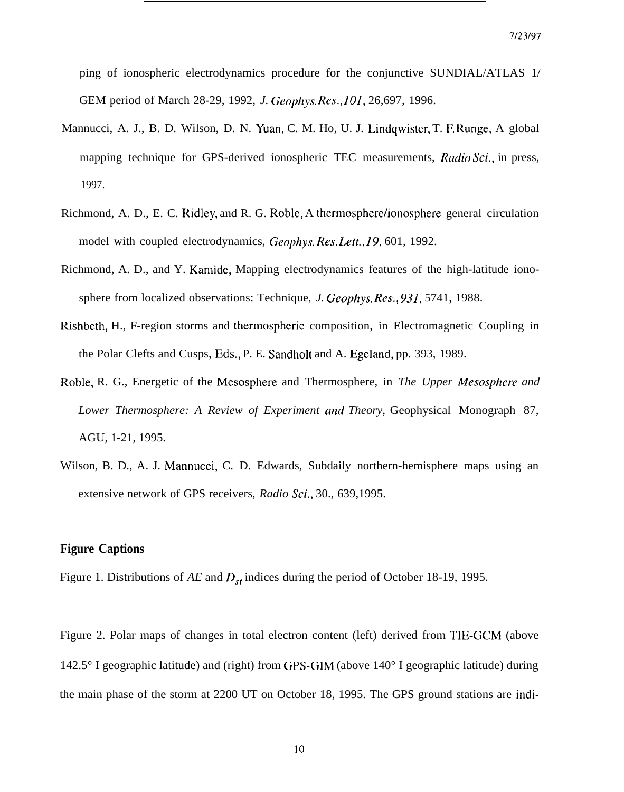ping of ionospheric electrodynamics procedure for the conjunctive SUNDIAL/ATLAS 1/ GEM period of March 28-29, 1992, *J. Geophys. Rcs., 10I,* 26,697, 1996.

- Mannucci, A. J., B. D. Wilson, D. N. Yuan, C. M. Ho, U. J. Lindqwistcr, T. F. Runge, A global mapping technique for GPS-derived ionospheric TEC measurements, *Radio Sci.,* in press, 1997.
- Richmond, A. D., E. C. Ridley, and R. G. Roble, A thermosphere/ionosphere general circulation model with coupled electrodynamics, Geophys. Res. Lett., 19, 601, 1992.
- Richmond, A. D., and Y. Karnide, Mapping electrodynamics features of the high-latitude ionosphere from localized observations: Technique, *J. Geophys. Res.,* 931, 5741, 1988.
- Rishbeth, H., F-region storms and thermospheric composition, in Electromagnetic Coupling in the Polar Clefts and Cusps, Eds., P. E. Sandholt and A. Egeland, pp. 393, 1989.
- Roble, R. G., Energetic of the Mesosphere and Thermosphere, in *The Upper Mesospher-e and Lower Thermosphere: A Review of Experiment and Theory,* Geophysical Monograph 87, AGU, 1-21, 1995.
- Wilson, B. D., A. J. Mannucci, C. D. Edwards, Subdaily northern-hemisphere maps using an extensive network of GPS receivers, *Radio Sci.,* 30., 639,1995.

## **Figure Captions**

Figure 1. Distributions of  $AE$  and  $D_{st}$  indices during the period of October 18-19, 1995.

Figure 2. Polar maps of changes in total electron content (left) derived from TIE-GCM (above 142.5° I geographic latitude) and (right) from GPS-GIM (above 140° I geographic latitude) during the main phase of the storm at 2200 UT on October 18, 1995. The GPS ground stations are indi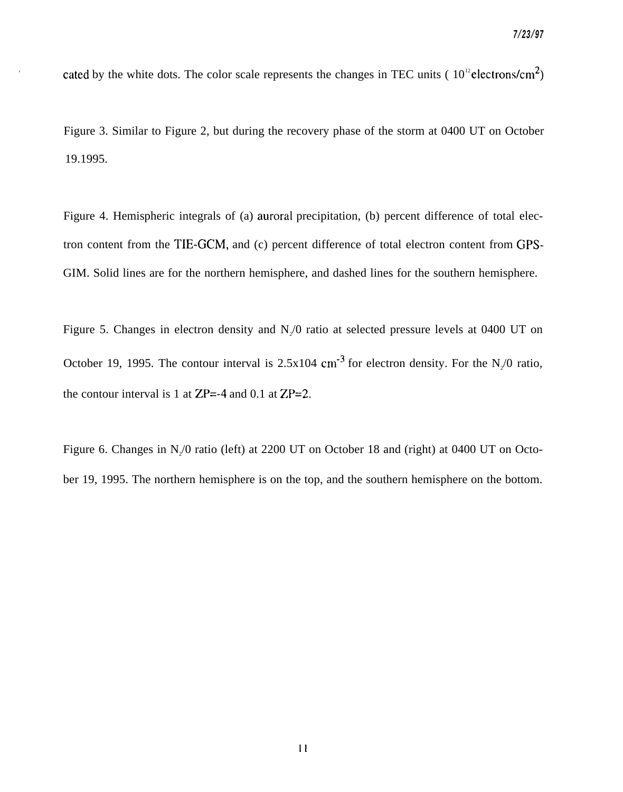cated by the white dots. The color scale represents the changes in TEC units ( $10^{12}$ electrons/cm<sup>2</sup>)

**.**

Figure 3. Similar to Figure 2, but during the recovery phase of the storm at 0400 UT on October 19.1995.

Figure 4. Hemispheric integrals of (a) auroral precipitation, (b) percent difference of total electron content from the TIE-GCM, and (c) percent difference of total electron content from GPS-GIM. Solid lines are for the northern hemisphere, and dashed lines for the southern hemisphere.

Figure 5. Changes in electron density and  $N<sub>2</sub>/0$  ratio at selected pressure levels at 0400 UT on October 19, 1995. The contour interval is  $2.5x104$  cm<sup>-3</sup> for electron density. For the N<sub>2</sub>/0 ratio, the contour interval is 1 at  $ZP = -4$  and 0.1 at  $ZP = 2$ .

Figure 6. Changes in  $N_2/0$  ratio (left) at 2200 UT on October 18 and (right) at 0400 UT on October 19, 1995. The northern hemisphere is on the top, and the southern hemisphere on the bottom.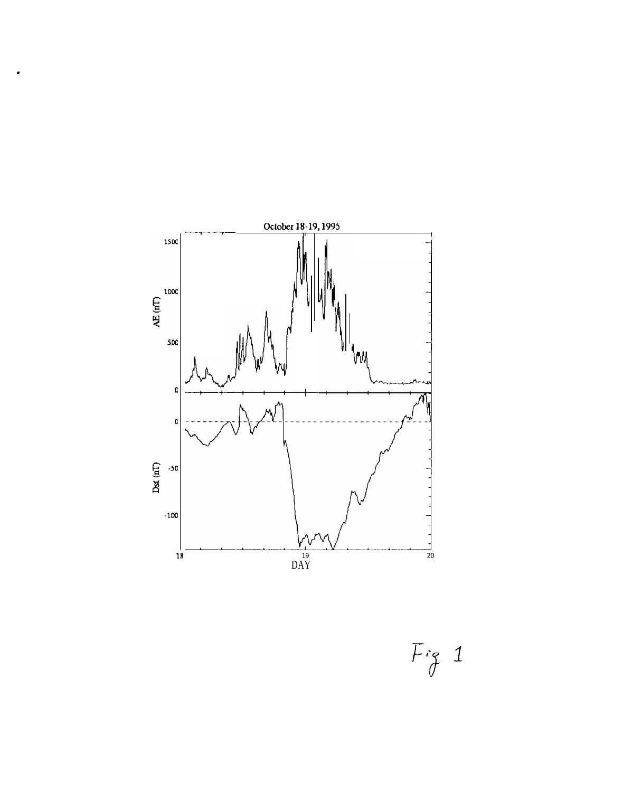

 $Fig 1$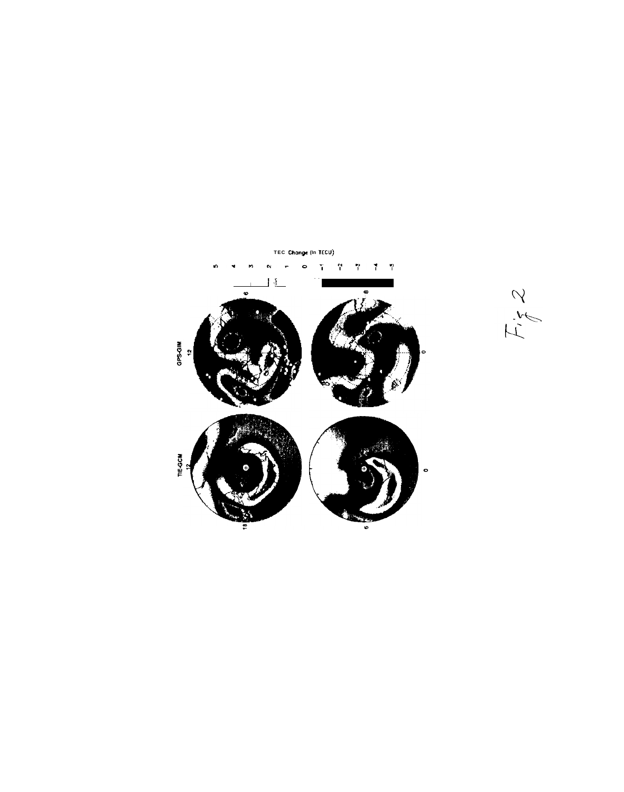

 $E, Z$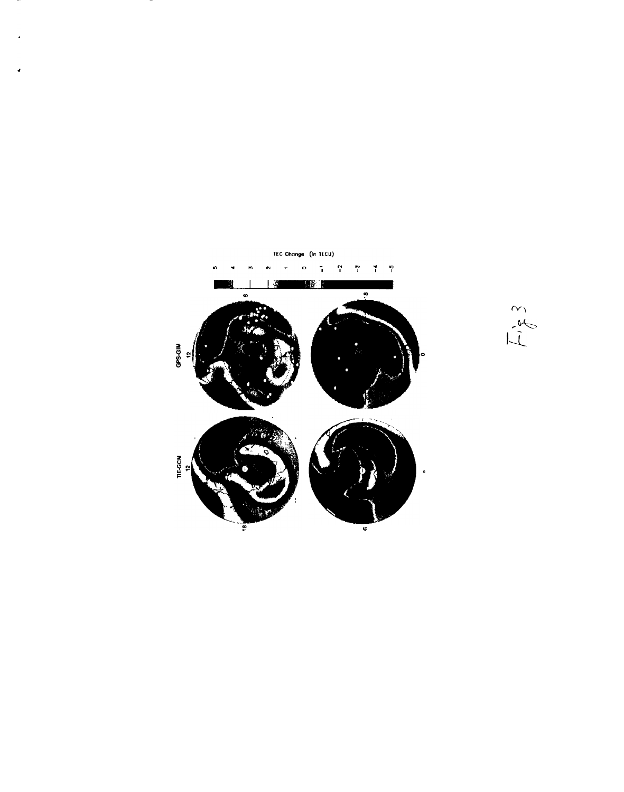

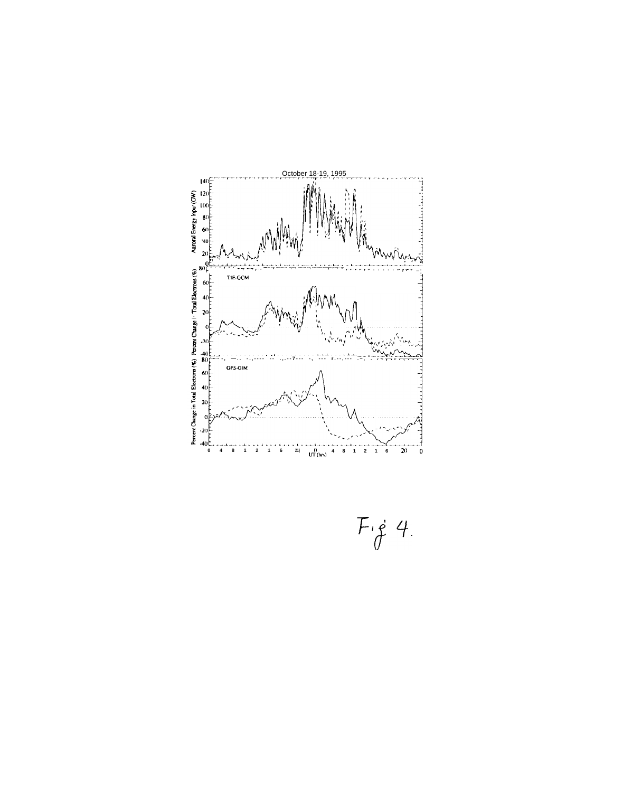

 $F_{\dot{\sigma}}$  4.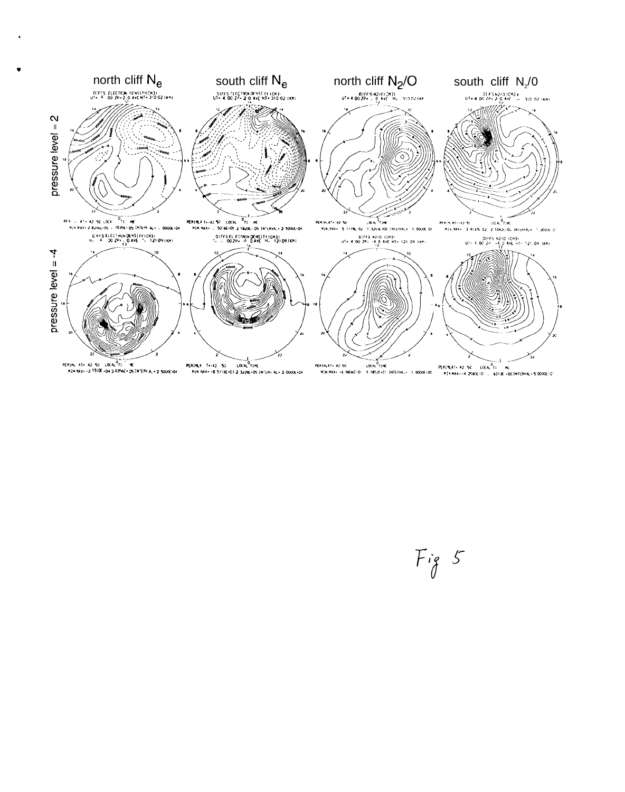

 $Fig 5$